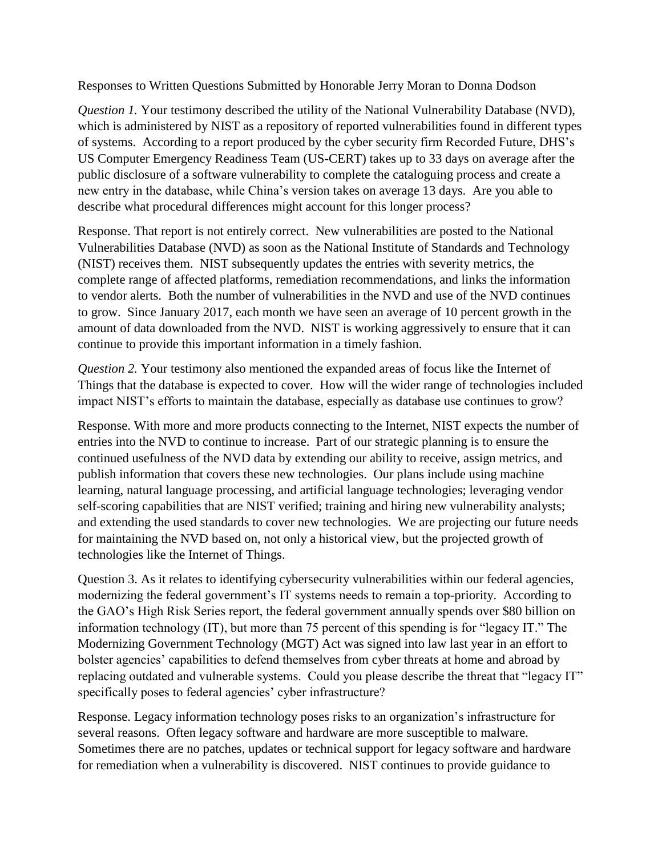Responses to Written Questions Submitted by Honorable Jerry Moran to Donna Dodson

*Question 1.* Your testimony described the utility of the National Vulnerability Database (NVD), which is administered by NIST as a repository of reported vulnerabilities found in different types of systems. According to a report produced by the cyber security firm Recorded Future, DHS's US Computer Emergency Readiness Team (US-CERT) takes up to 33 days on average after the public disclosure of a software vulnerability to complete the cataloguing process and create a new entry in the database, while China's version takes on average 13 days. Are you able to describe what procedural differences might account for this longer process?

Response. That report is not entirely correct. New vulnerabilities are posted to the National Vulnerabilities Database (NVD) as soon as the National Institute of Standards and Technology (NIST) receives them. NIST subsequently updates the entries with severity metrics, the complete range of affected platforms, remediation recommendations, and links the information to vendor alerts. Both the number of vulnerabilities in the NVD and use of the NVD continues to grow. Since January 2017, each month we have seen an average of 10 percent growth in the amount of data downloaded from the NVD. NIST is working aggressively to ensure that it can continue to provide this important information in a timely fashion.

*Question 2.* Your testimony also mentioned the expanded areas of focus like the Internet of Things that the database is expected to cover. How will the wider range of technologies included impact NIST's efforts to maintain the database, especially as database use continues to grow?

Response. With more and more products connecting to the Internet, NIST expects the number of entries into the NVD to continue to increase. Part of our strategic planning is to ensure the continued usefulness of the NVD data by extending our ability to receive, assign metrics, and publish information that covers these new technologies. Our plans include using machine learning, natural language processing, and artificial language technologies; leveraging vendor self-scoring capabilities that are NIST verified; training and hiring new vulnerability analysts; and extending the used standards to cover new technologies. We are projecting our future needs for maintaining the NVD based on, not only a historical view, but the projected growth of technologies like the Internet of Things.

Question 3. As it relates to identifying cybersecurity vulnerabilities within our federal agencies, modernizing the federal government's IT systems needs to remain a top-priority. According to the GAO's High Risk Series report, the federal government annually spends over \$80 billion on information technology (IT), but more than 75 percent of this spending is for "legacy IT." The Modernizing Government Technology (MGT) Act was signed into law last year in an effort to bolster agencies' capabilities to defend themselves from cyber threats at home and abroad by replacing outdated and vulnerable systems. Could you please describe the threat that "legacy IT" specifically poses to federal agencies' cyber infrastructure?

Response. Legacy information technology poses risks to an organization's infrastructure for several reasons. Often legacy software and hardware are more susceptible to malware. Sometimes there are no patches, updates or technical support for legacy software and hardware for remediation when a vulnerability is discovered. NIST continues to provide guidance to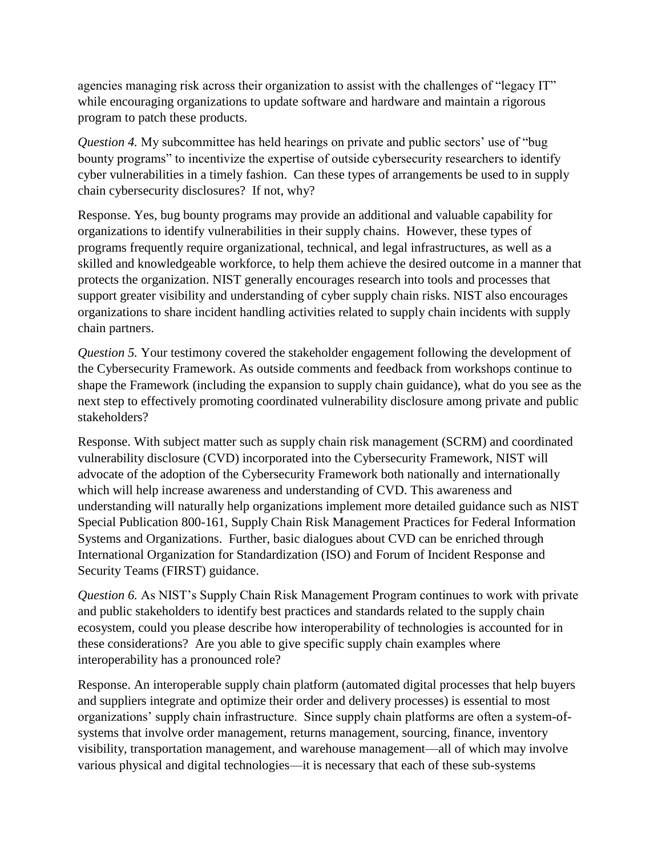agencies managing risk across their organization to assist with the challenges of "legacy IT" while encouraging organizations to update software and hardware and maintain a rigorous program to patch these products.

*Question 4.* My subcommittee has held hearings on private and public sectors' use of "bug bounty programs" to incentivize the expertise of outside cybersecurity researchers to identify cyber vulnerabilities in a timely fashion. Can these types of arrangements be used to in supply chain cybersecurity disclosures? If not, why?

Response. Yes, bug bounty programs may provide an additional and valuable capability for organizations to identify vulnerabilities in their supply chains. However, these types of programs frequently require organizational, technical, and legal infrastructures, as well as a skilled and knowledgeable workforce, to help them achieve the desired outcome in a manner that protects the organization. NIST generally encourages research into tools and processes that support greater visibility and understanding of cyber supply chain risks. NIST also encourages organizations to share incident handling activities related to supply chain incidents with supply chain partners.

*Question 5.* Your testimony covered the stakeholder engagement following the development of the Cybersecurity Framework. As outside comments and feedback from workshops continue to shape the Framework (including the expansion to supply chain guidance), what do you see as the next step to effectively promoting coordinated vulnerability disclosure among private and public stakeholders?

Response. With subject matter such as supply chain risk management (SCRM) and coordinated vulnerability disclosure (CVD) incorporated into the Cybersecurity Framework, NIST will advocate of the adoption of the Cybersecurity Framework both nationally and internationally which will help increase awareness and understanding of CVD. This awareness and understanding will naturally help organizations implement more detailed guidance such as NIST Special Publication 800-161, Supply Chain Risk Management Practices for Federal Information Systems and Organizations. Further, basic dialogues about CVD can be enriched through International Organization for Standardization (ISO) and Forum of Incident Response and Security Teams (FIRST) guidance.

*Question 6.* As NIST's Supply Chain Risk Management Program continues to work with private and public stakeholders to identify best practices and standards related to the supply chain ecosystem, could you please describe how interoperability of technologies is accounted for in these considerations? Are you able to give specific supply chain examples where interoperability has a pronounced role?

Response. An interoperable supply chain platform (automated digital processes that help buyers and suppliers integrate and optimize their order and delivery processes) is essential to most organizations' supply chain infrastructure. Since supply chain platforms are often a system-ofsystems that involve order management, returns management, sourcing, finance, inventory visibility, transportation management, and warehouse management—all of which may involve various physical and digital technologies—it is necessary that each of these sub-systems